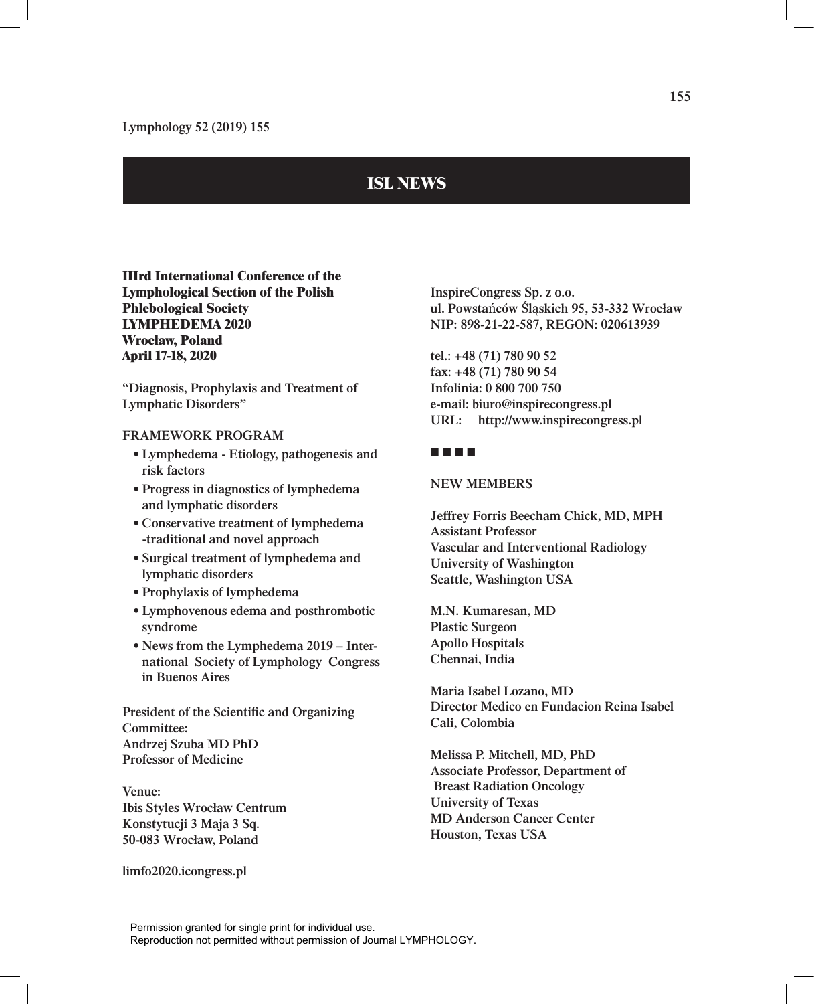## **ISL NEWS**

**IIIrd International Conference of the Lymphological Section of the Polish Phlebological Society LYMPHEDEMA 2020 Wrocław, Poland April 17-18, 2020**

**"Diagnosis, Prophylaxis and Treatment of Lymphatic Disorders"**

## **FRAMEWORK PROGRAM**

- **• Lymphedema Etiology, pathogenesis and risk factors**
- **• Progress in diagnostics of lymphedema and lymphatic disorders**
- **• Conservative treatment of lymphedema -traditional and novel approach**
- **• Surgical treatment of lymphedema and lymphatic disorders**
- **• Prophylaxis of lymphedema**
- **• Lymphovenous edema and posthrombotic syndrome**
- **• News from the Lymphedema 2019 International Society of Lymphology Congress in Buenos Aires**

**President of the Scientific and Organizing Committee: Andrzej Szuba MD PhD Professor of Medicine**

**Venue: Ibis Styles Wrocław Centrum Konstytucji 3 Maja 3 Sq. 50-083 Wrocław, Poland**

**limfo2020.icongress.pl**

**InspireCongress Sp. z o.o. ul. Powsta**ń**ców** Ś**l**ą**skich 95, 53-332 Wrocław NIP: 898-21-22-587, REGON: 020613939**

**tel.: +48 (71) 780 90 52 fax: +48 (71) 780 90 54 Infolinia: 0 800 700 750 e-mail: biuro@inspirecongress.pl URL: http://www.inspirecongress.pl**

## **■ ■ ■ ■**

## **NEW MEMBERS**

**Jeffrey Forris Beecham Chick, MD, MPH Assistant Professor Vascular and Interventional Radiology University of Washington Seattle, Washington USA**

**M.N. Kumaresan, MD Plastic Surgeon Apollo Hospitals Chennai, India**

**Maria Isabel Lozano, MD Director Medico en Fundacion Reina Isabel Cali, Colombia**

**Melissa P. Mitchell, MD, PhD Associate Professor, Department of Breast Radiation Oncology University of Texas MD Anderson Cancer Center Houston, Texas USA**